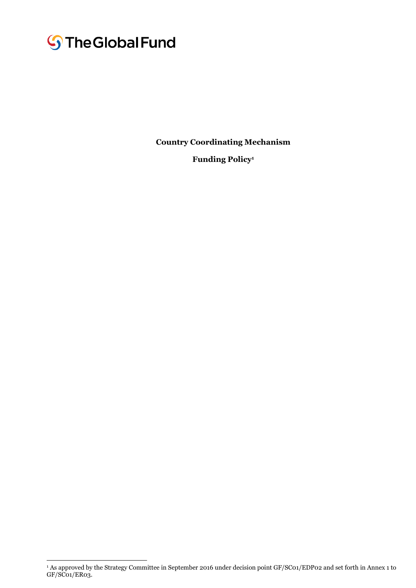# **S**The Global Fund

 $\overline{a}$ 

**Country Coordinating Mechanism** 

**Funding Policy<sup>1</sup>**

<sup>1</sup> As approved by the Strategy Committee in September 2016 under decision point GF/SC01/EDP02 and set forth in Annex 1 to GF/SC01/ER03.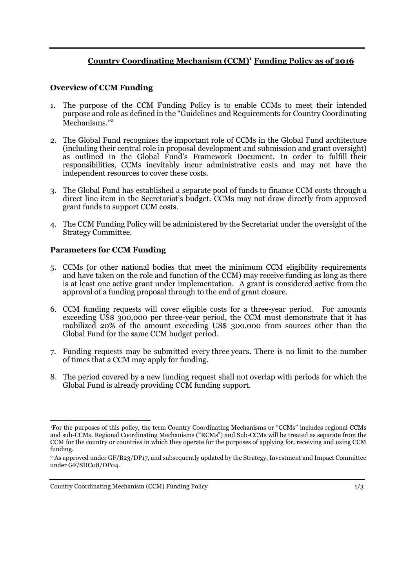## **Country Coordinating Mechanism (CCM) <sup>1</sup> Funding Policy as of 2016**

#### **Overview of CCM Funding**

- 1. The purpose of the CCM Funding Policy is to enable CCMs to meet their intended purpose and role as defined in the "Guidelines and Requirements for Country Coordinating Mechanisms." 2
- 2. The Global Fund recognizes the important role of CCMs in the Global Fund architecture (including their central role in proposal development and submission and grant oversight) as outlined in the Global Fund's Framework Document. In order to fulfill their responsibilities, CCMs inevitably incur administrative costs and may not have the independent resources to cover these costs.
- 3. The Global Fund has established a separate pool of funds to finance CCM costs through a direct line item in the Secretariat's budget. CCMs may not draw directly from approved grant funds to support CCM costs.
- 4. The CCM Funding Policy will be administered by the Secretariat under the oversight of the Strategy Committee.

### **Parameters for CCM Funding**

- 5. CCMs (or other national bodies that meet the minimum CCM eligibility requirements and have taken on the role and function of the CCM) may receive funding as long as there is at least one active grant under implementation. A grant is considered active from the approval of a funding proposal through to the end of grant closure.
- 6. CCM funding requests will cover eligible costs for a three-year period. For amounts exceeding US\$ 300,000 per three-year period, the CCM must demonstrate that it has mobilized 20% of the amount exceeding US\$ 300,000 from sources other than the Global Fund for the same CCM budget period.
- 7. Funding requests may be submitted every three years. There is no limit to the number of times that a CCM may apply for funding.
- 8. The period covered by a new funding request shall not overlap with periods for which the Global Fund is already providing CCM funding support.

<sup>1</sup>For the purposes of this policy, the term Country Coordinating Mechanisms or "CCMs" includes regional CCMs and sub-CCMs. Regional Coordinating Mechanisms ("RCMs") and Sub-CCMs will be treated as separate from the CCM for the country or countries in which they operate for the purposes of applying for, receiving and using CCM funding.

<sup>2</sup> As approved under GF/B23/DP17, and subsequently updated by the Strategy, Investment and Impact Committee under GF/SIIC08/DP04.

Country Coordinating Mechanism (CCM) Funding Policy 1/3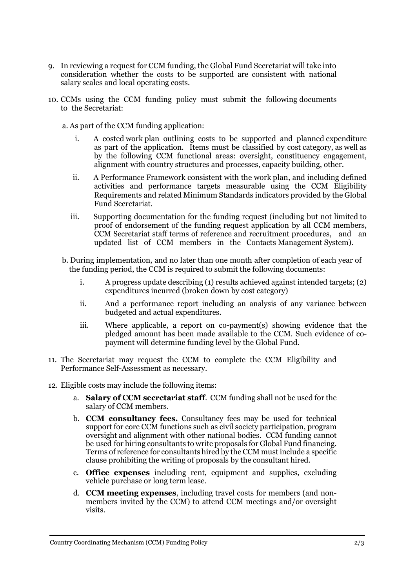- 9. In reviewing a request for CCM funding, the Global Fund Secretariat will take into consideration whether the costs to be supported are consistent with national salary scales and local operating costs.
- 10. CCMs using the CCM funding policy must submit the following documents to the Secretariat:
	- a. As part of the CCM funding application:
		- i. A costed work plan outlining costs to be supported and planned expenditure as part of the application. Items must be classified by cost category, as well as by the following CCM functional areas: oversight, constituency engagement, alignment with country structures and processes, capacity building, other.
		- ii. A Performance Framework consistent with the work plan, and including defined activities and performance targets measurable using the CCM Eligibility Requirements and related Minimum Standards indicators provided by the Global Fund Secretariat.
		- iii. Supporting documentation for the funding request (including but not limited to proof of endorsement of the funding request application by all CCM members, CCM Secretariat staff terms of reference and recruitment procedures, and an updated list of CCM members in the Contacts Management System).
	- b. During implementation, and no later than one month after completion of each year of the funding period, the CCM is required to submit the following documents:
		- i. A progress update describing (1) results achieved against intended targets; (2) expenditures incurred (broken down by cost category)
		- ii. And a performance report including an analysis of any variance between budgeted and actual expenditures.
		- iii. Where applicable, a report on co-payment(s) showing evidence that the pledged amount has been made available to the CCM. Such evidence of copayment will determine funding level by the Global Fund.
- 11. The Secretariat may request the CCM to complete the CCM Eligibility and Performance Self-Assessment as necessary.
- 12. Eligible costs may include the following items:
	- a. **Salary of CCM secretariat staff**. CCM funding shall not be used for the salary of CCM members.
	- b. **CCM consultancy fees.** Consultancy fees may be used for technical support for core CCM functions such as civil society participation, program oversight and alignment with other national bodies. CCM funding cannot be used for hiring consultants to write proposals for Global Fund financing. Terms of reference for consultants hired by the CCM must include a specific clause prohibiting the writing of proposals by the consultant hired.
	- c. **Office expenses** including rent, equipment and supplies, excluding vehicle purchase or long term lease.
	- d. **CCM meeting expenses**, including travel costs for members (and nonmembers invited by the CCM) to attend CCM meetings and/or oversight visits.

Country Coordinating Mechanism (CCM) Funding Policy 2/3